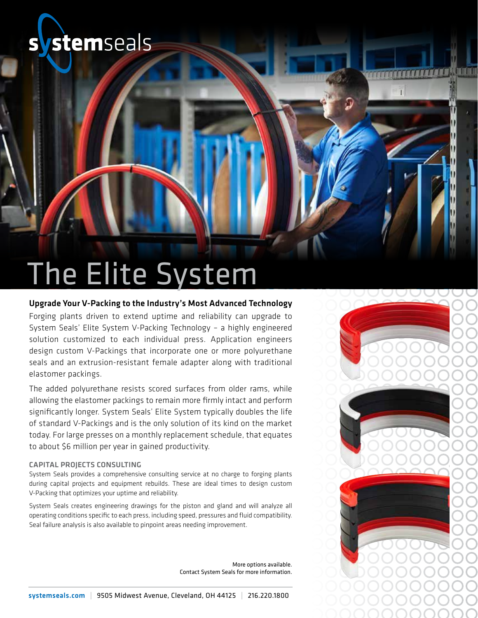## stemseals

## The Elite System

### Upgrade Your V-Packing to the Industry's Most Advanced Technology

Forging plants driven to extend uptime and reliability can upgrade to System Seals' Elite System V-Packing Technology – a highly engineered solution customized to each individual press. Application engineers design custom V-Packings that incorporate one or more polyurethane seals and an extrusion-resistant female adapter along with traditional elastomer packings.

The added polyurethane resists scored surfaces from older rams, while allowing the elastomer packings to remain more firmly intact and perform significantly longer. System Seals' Elite System typically doubles the life of standard V-Packings and is the only solution of its kind on the market today. For large presses on a monthly replacement schedule, that equates to about \$6 million per year in gained productivity.

#### Capital Projects Consulting

System Seals provides a comprehensive consulting service at no charge to forging plants during capital projects and equipment rebuilds. These are ideal times to design custom V-Packing that optimizes your uptime and reliability.

System Seals creates engineering drawings for the piston and gland and will analyze all operating conditions specific to each press, including speed, pressures and fluid compatibility. Seal failure analysis is also available to pinpoint areas needing improvement.

> More options available. Contact System Seals for more information.

TE TE TE TE TE TE